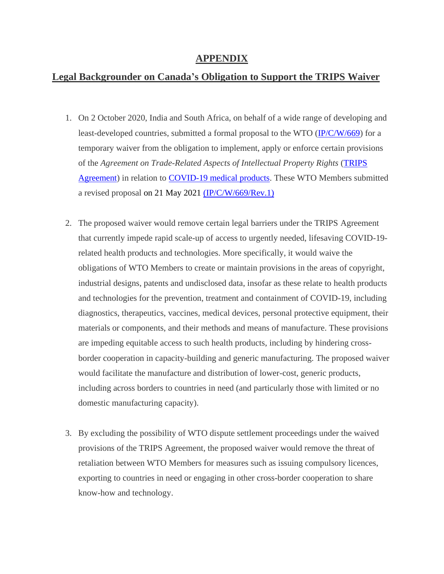# **APPENDIX**

# **Legal Backgrounder on Canada's Obligation to Support the TRIPS Waiver**

- 1. On 2 October 2020, India and South Africa, on behalf of a wide range of developing and least-developed countries, submitted a formal proposal to the WTO [\(IP/C/W/669\)](https://docs.wto.org/dol2fe/Pages/SS/directdoc.aspx?filename=q:/IP/C/W669.pdf&Open=True) for a temporary waiver from the obligation to implement, apply or enforce certain provisions of the *Agreement on Trade-Related Aspects of Intellectual Property Rights* [\(TRIPS](https://www.wto.org/english/docs_e/legal_e/31bis_trips_e.pdf)  [Agreement\)](https://www.wto.org/english/docs_e/legal_e/31bis_trips_e.pdf) in relation to [COVID-19 medical products.](https://docs.wto.org/dol2fe/Pages/SS/directdoc.aspx?filename=q:/IP/C/W669.pdf&Open=True) These WTO Members submitted a revised proposal on 21 May 2021 [\(IP/C/W/669/Rev.1\)](https://docs.wto.org/dol2fe/Pages/SS/directdoc.aspx?filename=q:/IP/C/W669R1.pdf&Open=True)
- 2. The proposed waiver would remove certain legal barriers under the TRIPS Agreement that currently impede rapid scale-up of access to urgently needed, lifesaving COVID-19 related health products and technologies. More specifically, it would waive the obligations of WTO Members to create or maintain provisions in the areas of copyright, industrial designs, patents and undisclosed data, insofar as these relate to health products and technologies for the prevention, treatment and containment of COVID-19, including diagnostics, therapeutics, vaccines, medical devices, personal protective equipment, their materials or components, and their methods and means of manufacture. These provisions are impeding equitable access to such health products, including by hindering crossborder cooperation in capacity-building and generic manufacturing. The proposed waiver would facilitate the manufacture and distribution of lower-cost, generic products, including across borders to countries in need (and particularly those with limited or no domestic manufacturing capacity).
- 3. By excluding the possibility of WTO dispute settlement proceedings under the waived provisions of the TRIPS Agreement, the proposed waiver would remove the threat of retaliation between WTO Members for measures such as issuing compulsory licences, exporting to countries in need or engaging in other cross-border cooperation to share know-how and technology.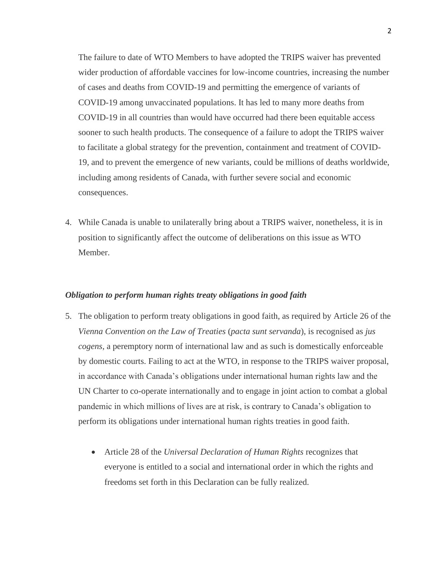The failure to date of WTO Members to have adopted the TRIPS waiver has prevented wider production of affordable vaccines for low-income countries, increasing the number of cases and deaths from COVID-19 and permitting the emergence of variants of COVID-19 among unvaccinated populations. It has led to many more deaths from COVID-19 in all countries than would have occurred had there been equitable access sooner to such health products. The consequence of a failure to adopt the TRIPS waiver to facilitate a global strategy for the prevention, containment and treatment of COVID-19, and to prevent the emergence of new variants, could be millions of deaths worldwide, including among residents of Canada, with further severe social and economic consequences.

4. While Canada is unable to unilaterally bring about a TRIPS waiver, nonetheless, it is in position to significantly affect the outcome of deliberations on this issue as WTO Member.

## *Obligation to perform human rights treaty obligations in good faith*

- 5. The obligation to perform treaty obligations in good faith, as required by Article 26 of the *Vienna Convention on the Law of Treaties* (*pacta sunt servanda*), is recognised as *jus cogens*, a peremptory norm of international law and as such is domestically enforceable by domestic courts. Failing to act at the WTO, in response to the TRIPS waiver proposal, in accordance with Canada's obligations under international human rights law and the UN Charter to co-operate internationally and to engage in joint action to combat a global pandemic in which millions of lives are at risk, is contrary to Canada's obligation to perform its obligations under international human rights treaties in good faith.
	- Article 28 of the *Universal Declaration of Human Rights* recognizes that everyone is entitled to a social and international order in which the rights and freedoms set forth in this Declaration can be fully realized.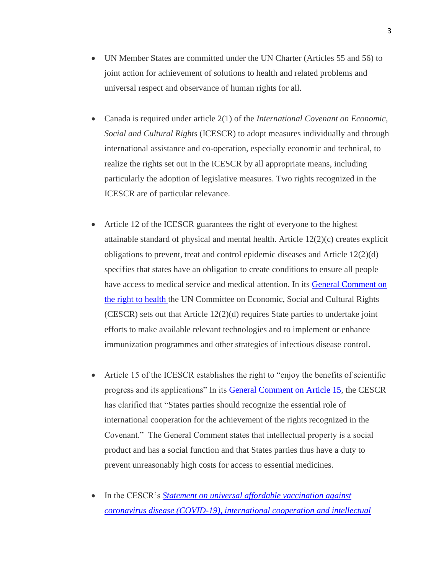- UN Member States are committed under the UN Charter (Articles 55 and 56) to joint action for achievement of solutions to health and related problems and universal respect and observance of human rights for all.
- Canada is required under article 2(1) of the *International Covenant on Economic, Social and Cultural Rights* (ICESCR) to adopt measures individually and through international assistance and co-operation, especially economic and technical, to realize the rights set out in the ICESCR by all appropriate means, including particularly the adoption of legislative measures. Two rights recognized in the ICESCR are of particular relevance.
- Article 12 of the ICESCR guarantees the right of everyone to the highest attainable standard of physical and mental health. Article  $12(2)(c)$  creates explicit obligations to prevent, treat and control epidemic diseases and Article 12(2)(d) specifies that states have an obligation to create conditions to ensure all people have access to medical service and medical attention. In its General Comment on [the right to health t](https://www.refworld.org/pdfid/4538838d0.pdf)he UN Committee on Economic, Social and Cultural Rights (CESCR) sets out that Article 12(2)(d) requires State parties to undertake joint efforts to make available relevant technologies and to implement or enhance immunization programmes and other strategies of infectious disease control.
- Article 15 of the ICESCR establishes the right to "enjoy the benefits of scientific progress and its applications" In its [General Comment on Article 15,](https://www.refworld.org/type,GENERAL,CESCR,,441543594,0.html) the CESCR has clarified that "States parties should recognize the essential role of international cooperation for the achievement of the rights recognized in the Covenant." The General Comment states that intellectual property is a social product and has a social function and that States parties thus have a duty to prevent unreasonably high costs for access to essential medicines.
- In the CESCR's *[Statement on universal affordable vaccination against](https://docstore.ohchr.org/SelfServices/FilesHandler.ashx?enc=4slQ6QSmlBEDzFEovLCuW1AVC1NkPsgUedPlF1vfPMKseJUC1CI6FcIakFK95v85g4Ik7k7QBI8EdfqmClTMrneFvtX1I0IL8hktDGNgWJc7FBC2uG%2b%2fdxsnlN1jrczo)  [coronavirus disease \(COVID-19\), international cooperation and intellectual](https://docstore.ohchr.org/SelfServices/FilesHandler.ashx?enc=4slQ6QSmlBEDzFEovLCuW1AVC1NkPsgUedPlF1vfPMKseJUC1CI6FcIakFK95v85g4Ik7k7QBI8EdfqmClTMrneFvtX1I0IL8hktDGNgWJc7FBC2uG%2b%2fdxsnlN1jrczo)*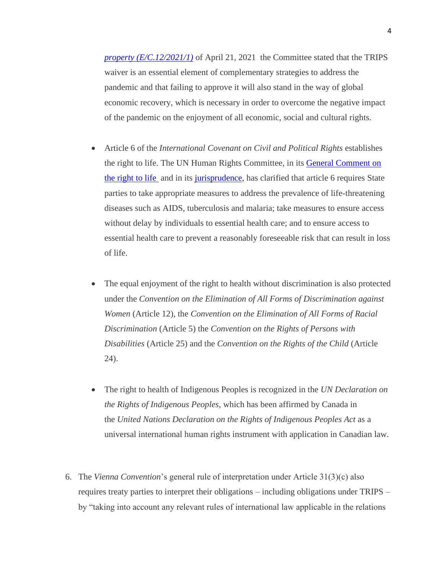*[property \(E/C.12/2021/1\)](https://docstore.ohchr.org/SelfServices/FilesHandler.ashx?enc=4slQ6QSmlBEDzFEovLCuW1AVC1NkPsgUedPlF1vfPMKseJUC1CI6FcIakFK95v85g4Ik7k7QBI8EdfqmClTMrneFvtX1I0IL8hktDGNgWJc7FBC2uG%2b%2fdxsnlN1jrczo)* of April 21, 2021 the Committee stated that the TRIPS waiver is an essential element of complementary strategies to address the pandemic and that failing to approve it will also stand in the way of global economic recovery, which is necessary in order to overcome the negative impact of the pandemic on the enjoyment of all economic, social and cultural rights.

- Article 6 of the *International Covenant on Civil and Political Rights* establishes the right to life. The UN Human Rights Committee, in its [General Comment on](https://undocs.org/CCPR/C/GC/36)  [the right to life](https://undocs.org/CCPR/C/GC/36) and in its [jurisprudence,](https://docstore.ohchr.org/SelfServices/FilesHandler.ashx?enc=6QkG1d%2fPPRiCAqhKb7yhstcNDCvDan1pXU7dsZDBaDUTGwvepRQQ4nwed0EKFgVQ1PMnrThSRVGq36Wd%2fdgnclNKEZT2ee5xTjoyNmiapxrxB8hNy3xID1qlQfO4XMfbSns9SrVKk2dshmsxA2QWVF9ozlsMPG5LTvkfhPliKEA%3d) has clarified that article 6 requires State parties to take appropriate measures to address the prevalence of life-threatening diseases such as AIDS, tuberculosis and malaria; take measures to ensure access without delay by individuals to essential health care; and to ensure access to essential health care to prevent a reasonably foreseeable risk that can result in loss of life.
- The equal enjoyment of the right to health without discrimination is also protected under the *Convention on the Elimination of All Forms of Discrimination against Women* (Article 12), the *Convention on the Elimination of All Forms of Racial Discrimination* (Article 5) the *Convention on the Rights of Persons with Disabilities* (Article 25) and the *Convention on the Rights of the Child* (Article 24).
- The right to health of Indigenous Peoples is recognized in the *UN Declaration on the Rights of Indigenous Peoples*, which has been affirmed by Canada in the *United Nations Declaration on the Rights of Indigenous Peoples Act* as a universal international human rights instrument with application in Canadian law.
- 6. The *Vienna Convention*'s general rule of interpretation under Article 31(3)(c) also requires treaty parties to interpret their obligations – including obligations under TRIPS – by "taking into account any relevant rules of international law applicable in the relations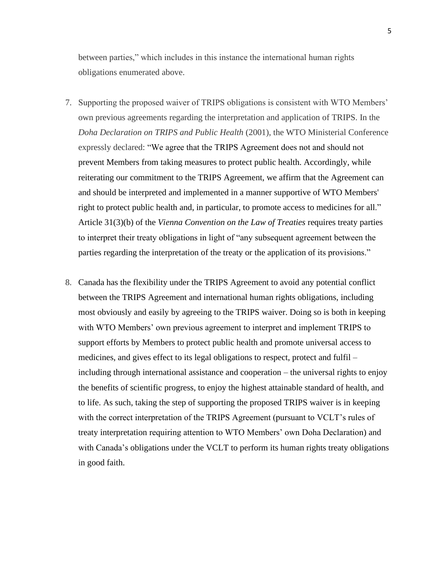between parties," which includes in this instance the international human rights obligations enumerated above.

- 7. Supporting the proposed waiver of TRIPS obligations is consistent with WTO Members' own previous agreements regarding the interpretation and application of TRIPS. In the *Doha Declaration on TRIPS and Public Health* (2001), the WTO Ministerial Conference expressly declared: "We agree that the TRIPS Agreement does not and should not prevent Members from taking measures to protect public health. Accordingly, while reiterating our commitment to the TRIPS Agreement, we affirm that the Agreement can and should be interpreted and implemented in a manner supportive of WTO Members' right to protect public health and, in particular, to promote access to medicines for all." Article 31(3)(b) of the *Vienna Convention on the Law of Treaties* requires treaty parties to interpret their treaty obligations in light of "any subsequent agreement between the parties regarding the interpretation of the treaty or the application of its provisions."
- 8. Canada has the flexibility under the TRIPS Agreement to avoid any potential conflict between the TRIPS Agreement and international human rights obligations, including most obviously and easily by agreeing to the TRIPS waiver. Doing so is both in keeping with WTO Members' own previous agreement to interpret and implement TRIPS to support efforts by Members to protect public health and promote universal access to medicines, and gives effect to its legal obligations to respect, protect and fulfil – including through international assistance and cooperation – the universal rights to enjoy the benefits of scientific progress, to enjoy the highest attainable standard of health, and to life. As such, taking the step of supporting the proposed TRIPS waiver is in keeping with the correct interpretation of the TRIPS Agreement (pursuant to VCLT's rules of treaty interpretation requiring attention to WTO Members' own Doha Declaration) and with Canada's obligations under the VCLT to perform its human rights treaty obligations in good faith.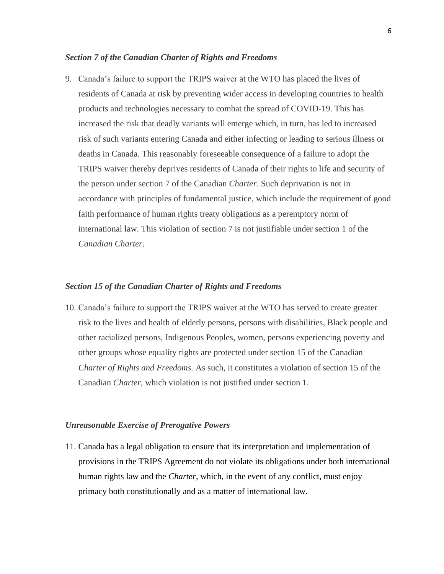#### *Section 7 of the Canadian Charter of Rights and Freedoms*

9. Canada's failure to support the TRIPS waiver at the WTO has placed the lives of residents of Canada at risk by preventing wider access in developing countries to health products and technologies necessary to combat the spread of COVID-19. This has increased the risk that deadly variants will emerge which, in turn, has led to increased risk of such variants entering Canada and either infecting or leading to serious illness or deaths in Canada. This reasonably foreseeable consequence of a failure to adopt the TRIPS waiver thereby deprives residents of Canada of their rights to life and security of the person under section 7 of the Canadian *Charter*. Such deprivation is not in accordance with principles of fundamental justice, which include the requirement of good faith performance of human rights treaty obligations as a peremptory norm of international law. This violation of section 7 is not justifiable under section 1 of the *Canadian Charter*.

## *Section 15 of the Canadian Charter of Rights and Freedoms*

10. Canada's failure to support the TRIPS waiver at the WTO has served to create greater risk to the lives and health of elderly persons, persons with disabilities, Black people and other racialized persons, Indigenous Peoples, women, persons experiencing poverty and other groups whose equality rights are protected under section 15 of the Canadian *Charter of Rights and Freedoms.* As such, it constitutes a violation of section 15 of the Canadian *Charter*, which violation is not justified under section 1.

#### *Unreasonable Exercise of Prerogative Powers*

11. Canada has a legal obligation to ensure that its interpretation and implementation of provisions in the TRIPS Agreement do not violate its obligations under both international human rights law and the *Charter*, which, in the event of any conflict, must enjoy primacy both constitutionally and as a matter of international law.